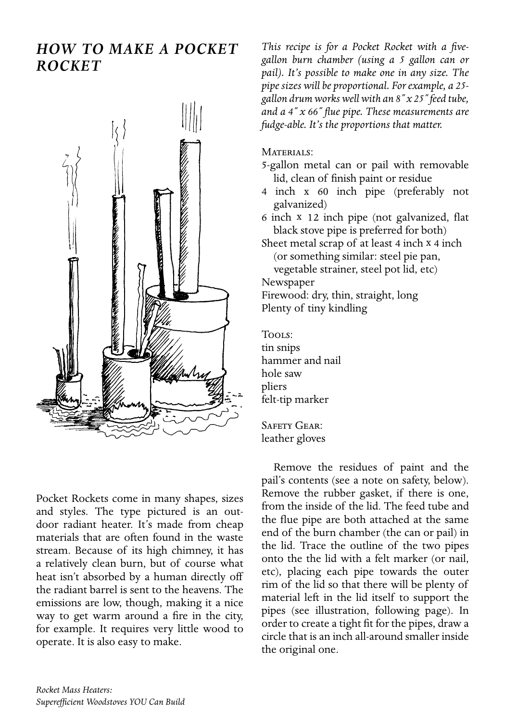## *how to make a Pocket Rocket*



Pocket Rockets come in many shapes, sizes and styles. The type pictured is an outdoor radiant heater. It's made from cheap materials that are often found in the waste stream. Because of its high chimney, it has a relatively clean burn, but of course what heat isn't absorbed by a human directly off the radiant barrel is sent to the heavens. The emissions are low, though, making it a nice way to get warm around a fire in the city, for example. It requires very little wood to operate. It is also easy to make.

*This recipe is for a Pocket Rocket with a fivegallon burn chamber (using a 5 gallon can or pail). It's possible to make one in any size. The pipe sizes will be proportional. For example, a 25 gallon drum works well with an 8˝ x 25˝ feed tube, and a 4˝ x 66˝ flue pipe. These measurements are fudge-able. It's the proportions that matter.*

## MATERIALS:

- 5-gallon metal can or pail with removable lid, clean of finish paint or residue
- 4 inch x 60 inch pipe (preferably not galvanized)
- 6 inch x 12 inch pipe (not galvanized, flat black stove pipe is preferred for both)
- Sheet metal scrap of at least 4 inch x 4 inch (or something similar: steel pie pan,

vegetable strainer, steel pot lid, etc)

Newspaper

Firewood: dry, thin, straight, long Plenty of tiny kindling

Tools: tin snips hammer and nail hole saw pliers felt-tip marker

SAFETY GEAR: leather gloves

Remove the residues of paint and the pail's contents (see a note on safety, below). Remove the rubber gasket, if there is one, from the inside of the lid. The feed tube and the flue pipe are both attached at the same end of the burn chamber (the can or pail) in the lid. Trace the outline of the two pipes onto the the lid with a felt marker (or nail, etc), placing each pipe towards the outer rim of the lid so that there will be plenty of material left in the lid itself to support the pipes (see illustration, following page). In order to create a tight fit for the pipes, draw a circle that is an inch all-around smaller inside the original one.